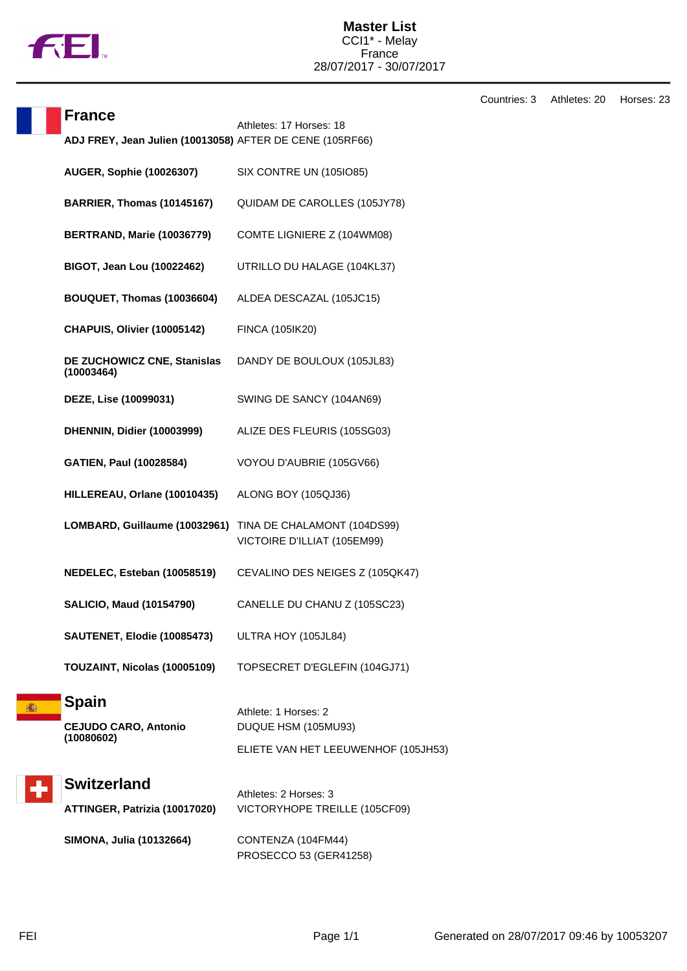

## Countries: 3 Athletes: 20 Horses: 23

| <b>France</b>                                            | Athletes: 17 Horses: 18                                    |
|----------------------------------------------------------|------------------------------------------------------------|
| ADJ FREY, Jean Julien (10013058) AFTER DE CENE (105RF66) |                                                            |
| <b>AUGER, Sophie (10026307)</b>                          | SIX CONTRE UN (105IO85)                                    |
| BARRIER, Thomas (10145167)                               | QUIDAM DE CAROLLES (105JY78)                               |
| BERTRAND, Marie (10036779)                               | COMTE LIGNIERE Z (104WM08)                                 |
| <b>BIGOT, Jean Lou (10022462)</b>                        | UTRILLO DU HALAGE (104KL37)                                |
| BOUQUET, Thomas (10036604)                               | ALDEA DESCAZAL (105JC15)                                   |
| CHAPUIS, Olivier (10005142)                              | FINCA (105IK20)                                            |
| DE ZUCHOWICZ CNE, Stanislas<br>(10003464)                | DANDY DE BOULOUX (105JL83)                                 |
| DEZE, Lise (10099031)                                    | SWING DE SANCY (104AN69)                                   |
| DHENNIN, Didier (10003999)                               | ALIZE DES FLEURIS (105SG03)                                |
| <b>GATIEN, Paul (10028584)</b>                           | VOYOU D'AUBRIE (105GV66)                                   |
| HILLEREAU, Orlane (10010435)                             | ALONG BOY (105QJ36)                                        |
| LOMBARD, Guillaume (10032961)                            | TINA DE CHALAMONT (104DS99)<br>VICTOIRE D'ILLIAT (105EM99) |
| NEDELEC, Esteban (10058519)                              | CEVALINO DES NEIGES Z (105QK47)                            |
| <b>SALICIO, Maud (10154790)</b>                          | CANELLE DU CHANU Z (105SC23)                               |
| SAUTENET, Elodie (10085473)                              | ULTRA HOY (105JL84)                                        |
| TOUZAINT, Nicolas (10005109)                             | TOPSECRET D'EGLEFIN (104GJ71)                              |
| <b>Spain</b>                                             | Athlete: 1 Horses: 2                                       |
| <b>CEJUDO CARO, Antonio</b>                              | DUQUE HSM (105MU93)                                        |
| (10080602)                                               | ELIETE VAN HET LEEUWENHOF (105JH53)                        |
| <b>Switzerland</b>                                       | Athletes: 2 Horses: 3                                      |
| ATTINGER, Patrizia (10017020)                            | VICTORYHOPE TREILLE (105CF09)                              |
| SIMONA, Julia (10132664)                                 | CONTENZA (104FM44)                                         |

PROSECCO 53 (GER41258)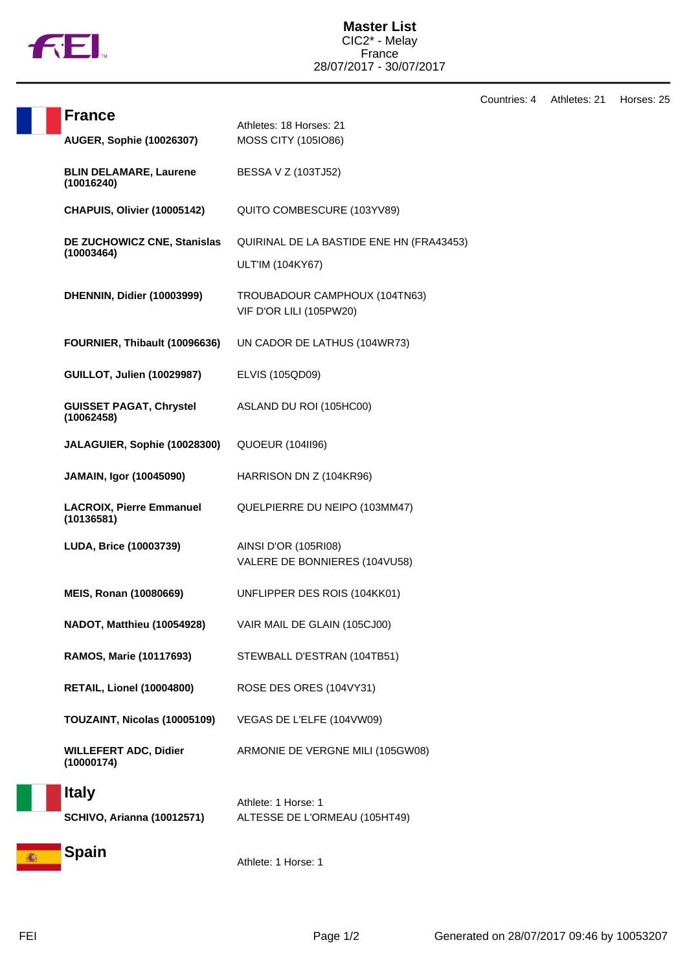

Countries: 4 Athletes: 21 Horses: 25

|                                                   |                                                              | Countrie |
|---------------------------------------------------|--------------------------------------------------------------|----------|
| <b>France</b><br><b>AUGER, Sophie (10026307)</b>  | Athletes: 18 Horses: 21<br>MOSS CITY (105IO86)               |          |
| <b>BLIN DELAMARE, Laurene</b><br>(10016240)       | BESSA V Z (103TJ52)                                          |          |
| CHAPUIS, Olivier (10005142)                       | QUITO COMBESCURE (103YV89)                                   |          |
| DE ZUCHOWICZ CNE, Stanislas<br>(10003464)         | QUIRINAL DE LA BASTIDE ENE HN (FRA43453)<br>ULT'IM (104KY67) |          |
| DHENNIN, Didier (10003999)                        | TROUBADOUR CAMPHOUX (104TN63)<br>VIF D'OR LILI (105PW20)     |          |
| FOURNIER, Thibault (10096636)                     | UN CADOR DE LATHUS (104WR73)                                 |          |
| <b>GUILLOT, Julien (10029987)</b>                 | ELVIS (105QD09)                                              |          |
| <b>GUISSET PAGAT, Chrystel</b><br>(10062458)      | ASLAND DU ROI (105HC00)                                      |          |
| JALAGUIER, Sophie (10028300)                      | <b>QUOEUR (1041196)</b>                                      |          |
| JAMAIN, Igor (10045090)                           | HARRISON DN Z (104KR96)                                      |          |
| <b>LACROIX, Pierre Emmanuel</b><br>(10136581)     | QUELPIERRE DU NEIPO (103MM47)                                |          |
| LUDA, Brice (10003739)                            | AINSI D'OR (105RI08)<br>VALERE DE BONNIERES (104VU58)        |          |
| <b>MEIS, Ronan (10080669)</b>                     | UNFLIPPER DES ROIS (104KK01)                                 |          |
| NADOT, Matthieu (10054928)                        | VAIR MAIL DE GLAIN (105CJ00)                                 |          |
| RAMOS, Marie (10117693)                           | STEWBALL D'ESTRAN (104TB51)                                  |          |
| <b>RETAIL, Lionel (10004800)</b>                  | ROSE DES ORES (104VY31)                                      |          |
| TOUZAINT, Nicolas (10005109)                      | VEGAS DE L'ELFE (104VW09)                                    |          |
| <b>WILLEFERT ADC, Didier</b><br>(10000174)        | ARMONIE DE VERGNE MILI (105GW08)                             |          |
| <b>Italy</b><br><b>SCHIVO, Arianna (10012571)</b> | Athlete: 1 Horse: 1<br>ALTESSE DE L'ORMEAU (105HT49)         |          |
| <b>Spain</b>                                      | Athlete: 1 Horse: 1                                          |          |